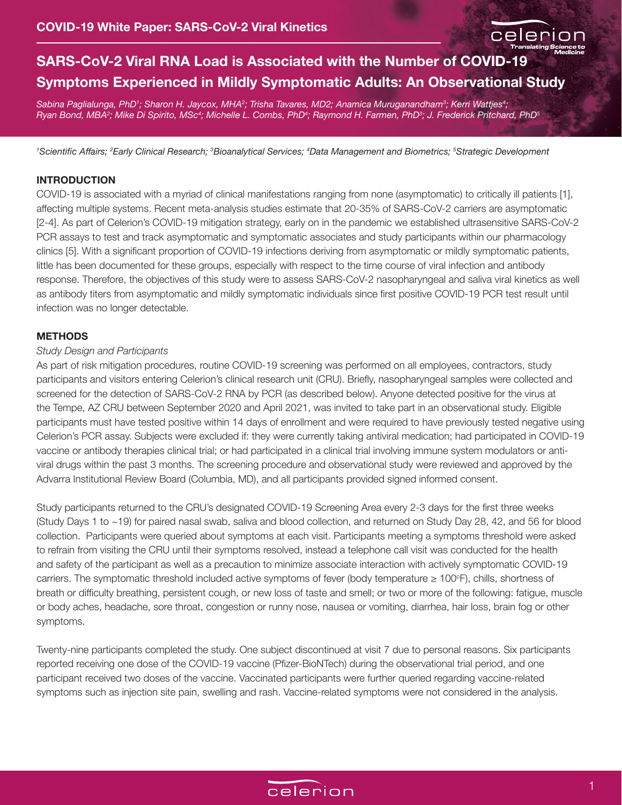

# **SARS-CoV-2 Viral RNA Load is Associated with the Number of COVID-19 Symptoms Experienced in Mildly Symptomatic Adults: An Observational Study**

Sabina Paglialunga, PhD<sup>1</sup>; Sharon H. Jaycox, MHA<sup>2</sup>; Trisha Tavares, MD2; Anamica Muruganandham<sup>3</sup>; Kerri Wattjes<sup>4</sup>; *Ryan Bond, MBA2 ; Mike Di Spirito, MSc4 ; Michelle L. Combs, PhD4 ; Raymond H. Farmen, PhD3 ; J. Frederick Pritchard, PhD5*

*1 Scientific Affairs; <sup>2</sup> Early Clinical Research; 3 Bioanalytical Services; 4 Data Management and Biometrics; 5 Strategic Development*

#### **INTRODUCTION**

COVID-19 is associated with a myriad of clinical manifestations ranging from none (asymptomatic) to critically ill patients [1], affecting multiple systems. Recent meta-analysis studies estimate that 20-35% of SARS-CoV-2 carriers are asymptomatic [2-4]. As part of Celerion's COVID-19 mitigation strategy, early on in the pandemic we established ultrasensitive SARS-CoV-2 PCR assays to test and track asymptomatic and symptomatic associates and study participants within our pharmacology clinics [5]. With a significant proportion of COVID-19 infections deriving from asymptomatic or mildly symptomatic patients, little has been documented for these groups, especially with respect to the time course of viral infection and antibody response. Therefore, the objectives of this study were to assess SARS-CoV-2 nasopharyngeal and saliva viral kinetics as well as antibody titers from asymptomatic and mildly symptomatic individuals since first positive COVID-19 PCR test result until infection was no longer detectable.

#### **METHODS**

### *Study Design and Participants*

As part of risk mitigation procedures, routine COVID-19 screening was performed on all employees, contractors, study participants and visitors entering Celerion's clinical research unit (CRU). Briefly, nasopharyngeal samples were collected and screened for the detection of SARS-CoV-2 RNA by PCR (as described below). Anyone detected positive for the virus at the Tempe, AZ CRU between September 2020 and April 2021, was invited to take part in an observational study. Eligible participants must have tested positive within 14 days of enrollment and were required to have previously tested negative using Celerion's PCR assay. Subjects were excluded if: they were currently taking antiviral medication; had participated in COVID-19 vaccine or antibody therapies clinical trial; or had participated in a clinical trial involving immune system modulators or antiviral drugs within the past 3 months. The screening procedure and observational study were reviewed and approved by the Advarra Institutional Review Board (Columbia, MD), and all participants provided signed informed consent.

Study participants returned to the CRU's designated COVID-19 Screening Area every 2-3 days for the first three weeks (Study Days 1 to ~19) for paired nasal swab, saliva and blood collection, and returned on Study Day 28, 42, and 56 for blood collection. Participants were queried about symptoms at each visit. Participants meeting a symptoms threshold were asked to refrain from visiting the CRU until their symptoms resolved, instead a telephone call visit was conducted for the health and safety of the participant as well as a precaution to minimize associate interaction with actively symptomatic COVID-19 carriers. The symptomatic threshold included active symptoms of fever (body temperature  $\geq 100^{\circ}$ F), chills, shortness of breath or difficulty breathing, persistent cough, or new loss of taste and smell; or two or more of the following: fatigue, muscle or body aches, headache, sore throat, congestion or runny nose, nausea or vomiting, diarrhea, hair loss, brain fog or other symptoms.

Twenty-nine participants completed the study. One subject discontinued at visit 7 due to personal reasons. Six participants reported receiving one dose of the COVID-19 vaccine (Pfizer-BioNTech) during the observational trial period, and one participant received two doses of the vaccine. Vaccinated participants were further queried regarding vaccine-related symptoms such as injection site pain, swelling and rash. Vaccine-related symptoms were not considered in the analysis.

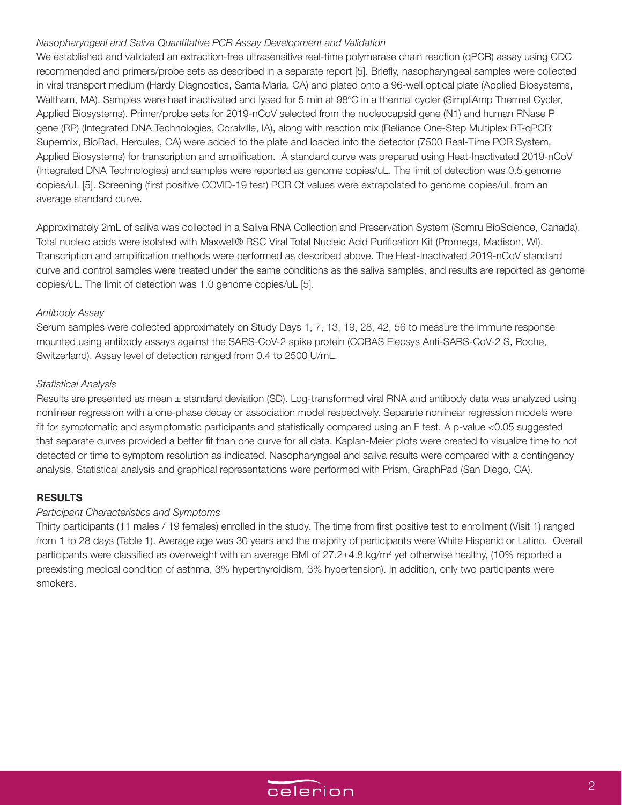## *Nasopharyngeal and Saliva Quantitative PCR Assay Development and Validation*

We established and validated an extraction-free ultrasensitive real-time polymerase chain reaction (qPCR) assay using CDC recommended and primers/probe sets as described in a separate report [5]. Briefly, nasopharyngeal samples were collected in viral transport medium (Hardy Diagnostics, Santa Maria, CA) and plated onto a 96-well optical plate (Applied Biosystems, Waltham, MA). Samples were heat inactivated and lysed for 5 min at 98°C in a thermal cycler (SimpliAmp Thermal Cycler, Applied Biosystems). Primer/probe sets for 2019-nCoV selected from the nucleocapsid gene (N1) and human RNase P gene (RP) (Integrated DNA Technologies, Coralville, IA), along with reaction mix (Reliance One-Step Multiplex RT-qPCR Supermix, BioRad, Hercules, CA) were added to the plate and loaded into the detector (7500 Real-Time PCR System, Applied Biosystems) for transcription and amplification. A standard curve was prepared using Heat-Inactivated 2019-nCoV (Integrated DNA Technologies) and samples were reported as genome copies/uL. The limit of detection was 0.5 genome copies/uL [5]. Screening (first positive COVID-19 test) PCR Ct values were extrapolated to genome copies/uL from an average standard curve.

Approximately 2mL of saliva was collected in a Saliva RNA Collection and Preservation System (Somru BioScience, Canada). Total nucleic acids were isolated with Maxwell® RSC Viral Total Nucleic Acid Purification Kit (Promega, Madison, WI). Transcription and amplification methods were performed as described above. The Heat-Inactivated 2019-nCoV standard curve and control samples were treated under the same conditions as the saliva samples, and results are reported as genome copies/uL. The limit of detection was 1.0 genome copies/uL [5].

### *Antibody Assay*

Serum samples were collected approximately on Study Days 1, 7, 13, 19, 28, 42, 56 to measure the immune response mounted using antibody assays against the SARS-CoV-2 spike protein (COBAS Elecsys Anti-SARS-CoV-2 S, Roche, Switzerland). Assay level of detection ranged from 0.4 to 2500 U/mL.

### *Statistical Analysis*

Results are presented as mean  $\pm$  standard deviation (SD). Log-transformed viral RNA and antibody data was analyzed using nonlinear regression with a one-phase decay or association model respectively. Separate nonlinear regression models were fit for symptomatic and asymptomatic participants and statistically compared using an F test. A p-value <0.05 suggested that separate curves provided a better fit than one curve for all data. Kaplan-Meier plots were created to visualize time to not detected or time to symptom resolution as indicated. Nasopharyngeal and saliva results were compared with a contingency analysis. Statistical analysis and graphical representations were performed with Prism, GraphPad (San Diego, CA).

# **RESULTS**

#### *Participant Characteristics and Symptoms*

Thirty participants (11 males / 19 females) enrolled in the study. The time from first positive test to enrollment (Visit 1) ranged from 1 to 28 days (Table 1). Average age was 30 years and the majority of participants were White Hispanic or Latino. Overall participants were classified as overweight with an average BMI of 27.2±4.8 kg/m<sup>2</sup> yet otherwise healthy, (10% reported a preexisting medical condition of asthma, 3% hyperthyroidism, 3% hypertension). In addition, only two participants were smokers.

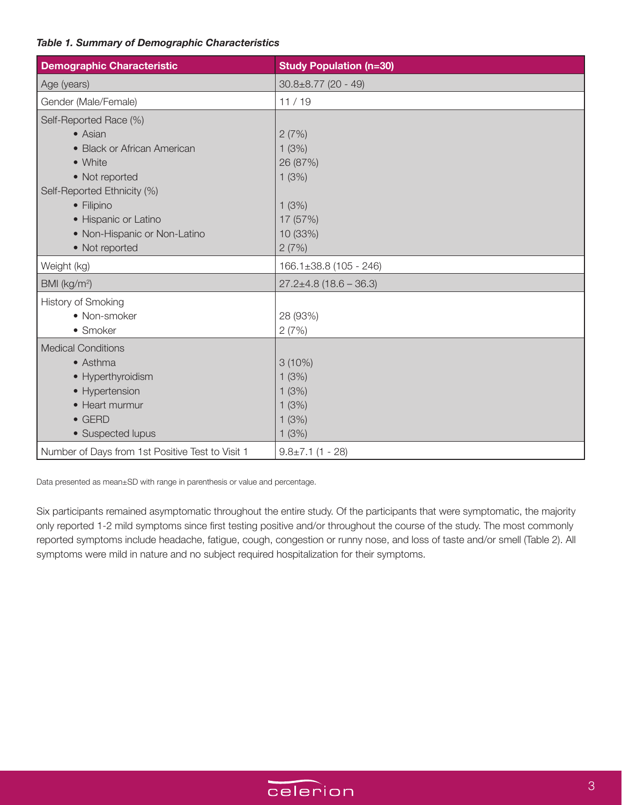# *Table 1. Summary of Demographic Characteristics*

| <b>Demographic Characteristic</b>                | <b>Study Population (n=30)</b> |
|--------------------------------------------------|--------------------------------|
| Age (years)                                      | $30.8 \pm 8.77$ (20 - 49)      |
| Gender (Male/Female)                             | 11/19                          |
| Self-Reported Race (%)                           |                                |
| • Asian                                          | 2(7%)                          |
| • Black or African American                      | 1(3%)                          |
| • White                                          | 26 (87%)                       |
| • Not reported                                   | 1(3%)                          |
| Self-Reported Ethnicity (%)                      |                                |
| • Filipino                                       | 1(3%)                          |
| • Hispanic or Latino                             | 17 (57%)                       |
| • Non-Hispanic or Non-Latino                     | 10 (33%)                       |
| • Not reported                                   | 2(7%)                          |
| Weight (kg)                                      | $166.1 \pm 38.8$ (105 - 246)   |
| BMI (kg/m <sup>2</sup> )                         | $27.2 \pm 4.8$ (18.6 – 36.3)   |
| <b>History of Smoking</b>                        |                                |
| • Non-smoker                                     | 28 (93%)                       |
| • Smoker                                         | 2(7%)                          |
| <b>Medical Conditions</b>                        |                                |
| • Asthma                                         | $3(10\%)$                      |
| • Hyperthyroidism                                | 1(3%)                          |
| • Hypertension                                   | 1(3%)                          |
| • Heart murmur                                   | 1(3%)                          |
| $\bullet$ GERD                                   | 1(3%)                          |
| • Suspected lupus                                | 1(3%)                          |
| Number of Days from 1st Positive Test to Visit 1 | $9.8 \pm 7.1$ (1 - 28)         |

Data presented as mean±SD with range in parenthesis or value and percentage.

Six participants remained asymptomatic throughout the entire study. Of the participants that were symptomatic, the majority only reported 1-2 mild symptoms since first testing positive and/or throughout the course of the study. The most commonly reported symptoms include headache, fatigue, cough, congestion or runny nose, and loss of taste and/or smell (Table 2). All symptoms were mild in nature and no subject required hospitalization for their symptoms.

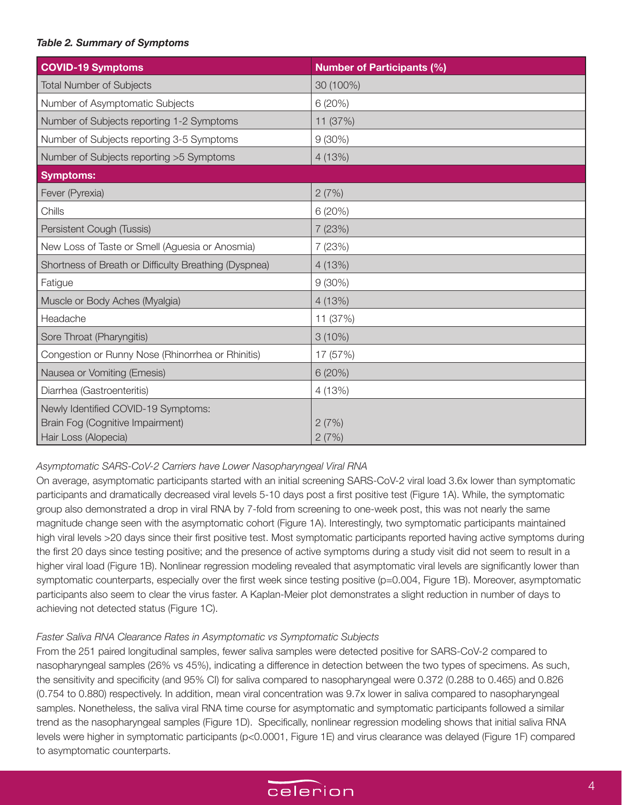# *Table 2. Summary of Symptoms*

| <b>COVID-19 Symptoms</b>                              | <b>Number of Participants (%)</b> |
|-------------------------------------------------------|-----------------------------------|
| <b>Total Number of Subjects</b>                       | 30 (100%)                         |
| Number of Asymptomatic Subjects                       | 6(20%)                            |
| Number of Subjects reporting 1-2 Symptoms             | 11 (37%)                          |
| Number of Subjects reporting 3-5 Symptoms             | $9(30\%)$                         |
| Number of Subjects reporting > 5 Symptoms             | 4 (13%)                           |
| Symptoms:                                             |                                   |
| Fever (Pyrexia)                                       | 2(7%)                             |
| Chills                                                | 6(20%)                            |
| Persistent Cough (Tussis)                             | 7 (23%)                           |
| New Loss of Taste or Smell (Aguesia or Anosmia)       | 7(23%)                            |
| Shortness of Breath or Difficulty Breathing (Dyspnea) | 4 (13%)                           |
| Fatigue                                               | $9(30\%)$                         |
| Muscle or Body Aches (Myalgia)                        | 4(13%)                            |
| Headache                                              | 11 (37%)                          |
| Sore Throat (Pharyngitis)                             | $3(10\%)$                         |
| Congestion or Runny Nose (Rhinorrhea or Rhinitis)     | 17 (57%)                          |
| Nausea or Vomiting (Emesis)                           | 6(20%)                            |
| Diarrhea (Gastroenteritis)                            | 4 (13%)                           |
| Newly Identified COVID-19 Symptoms:                   |                                   |
| Brain Fog (Cognitive Impairment)                      | 2(7%)                             |
| Hair Loss (Alopecia)                                  | 2(7%)                             |

# *Asymptomatic SARS-CoV-2 Carriers have Lower Nasopharyngeal Viral RNA*

On average, asymptomatic participants started with an initial screening SARS-CoV-2 viral load 3.6x lower than symptomatic participants and dramatically decreased viral levels 5-10 days post a first positive test (Figure 1A). While, the symptomatic group also demonstrated a drop in viral RNA by 7-fold from screening to one-week post, this was not nearly the same magnitude change seen with the asymptomatic cohort (Figure 1A). Interestingly, two symptomatic participants maintained high viral levels >20 days since their first positive test. Most symptomatic participants reported having active symptoms during the first 20 days since testing positive; and the presence of active symptoms during a study visit did not seem to result in a higher viral load (Figure 1B). Nonlinear regression modeling revealed that asymptomatic viral levels are significantly lower than symptomatic counterparts, especially over the first week since testing positive (p=0.004, Figure 1B). Moreover, asymptomatic participants also seem to clear the virus faster. A Kaplan-Meier plot demonstrates a slight reduction in number of days to achieving not detected status (Figure 1C).

# *Faster Saliva RNA Clearance Rates in Asymptomatic vs Symptomatic Subjects*

From the 251 paired longitudinal samples, fewer saliva samples were detected positive for SARS-CoV-2 compared to nasopharyngeal samples (26% vs 45%), indicating a difference in detection between the two types of specimens. As such, the sensitivity and specificity (and 95% CI) for saliva compared to nasopharyngeal were 0.372 (0.288 to 0.465) and 0.826 (0.754 to 0.880) respectively. In addition, mean viral concentration was 9.7x lower in saliva compared to nasopharyngeal samples. Nonetheless, the saliva viral RNA time course for asymptomatic and symptomatic participants followed a similar trend as the nasopharyngeal samples (Figure 1D). Specifically, nonlinear regression modeling shows that initial saliva RNA levels were higher in symptomatic participants (p<0.0001, Figure 1E) and virus clearance was delayed (Figure 1F) compared to asymptomatic counterparts.

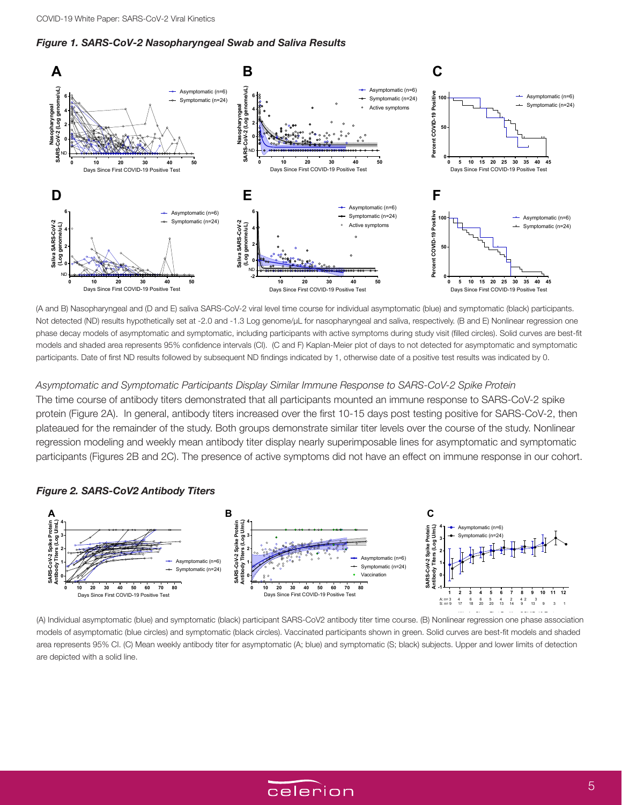



(A and B) Nasopharyngeal and (D and E) saliva SARS-CoV-2 viral level time course for individual asymptomatic (blue) and symptomatic (black) participants. Not detected (ND) results hypothetically set at -2.0 and -1.3 Log genome/µL for nasopharyngeal and saliva, respectively. (B and E) Nonlinear regression one phase decay models of asymptomatic and symptomatic, including participants with active symptoms during study visit (filled circles). Solid curves are best-fit models and shaded area represents 95% confidence intervals (CI). (C and F) Kaplan-Meier plot of days to not detected for asymptomatic and symptomatic participants. Date of first ND results followed by subsequent ND findings indicated by 1, otherwise date of a positive test results was indicated by 0.

*Asymptomatic and Symptomatic Participants Display Similar Immune Response to SARS-CoV-2 Spike Protein* The time course of antibody titers demonstrated that all participants mounted an immune response to SARS-CoV-2 spike protein (Figure 2A). In general, antibody titers increased over the first 10-15 days post testing positive for SARS-CoV-2, then **4 A B** plateaued for the remainder of the study. Both groups demonstrate similar titer levels over the course of the study. Nonlinear **3** regression modeling and weekly mean antibody titer display nearly superimposable lines for asymptomatic and symptomatic **2** participants (Figures 2B and 2C). The presence of active symptoms did not have an effect on immune response in our cohort. **SARS-CoV-2 Spike Protein Antibody Titers (Log U/mL)**

#### *Figure 2. SARS-CoV2 Antibody Titers*



**2** are depicted with a solid line.area represents 95% CI. (C) Mean weekly antibody titer for asymptomatic (A; blue) and symptomatic (S; black) subjects. Upper and lower limits of detection models of asymptomatic (blue circles) and symptomatic (black circles). Vaccinated participants shown in green. Solid curves are best-fit models and shaded **SARS-CoV-2 Spike Protein Antibody Titers (Log U/mL)** (A) Individual asymptomatic (blue) and symptomatic (black) participant SARS-CoV2 antibody titer time course. (B) Nonlinear regression one phase association

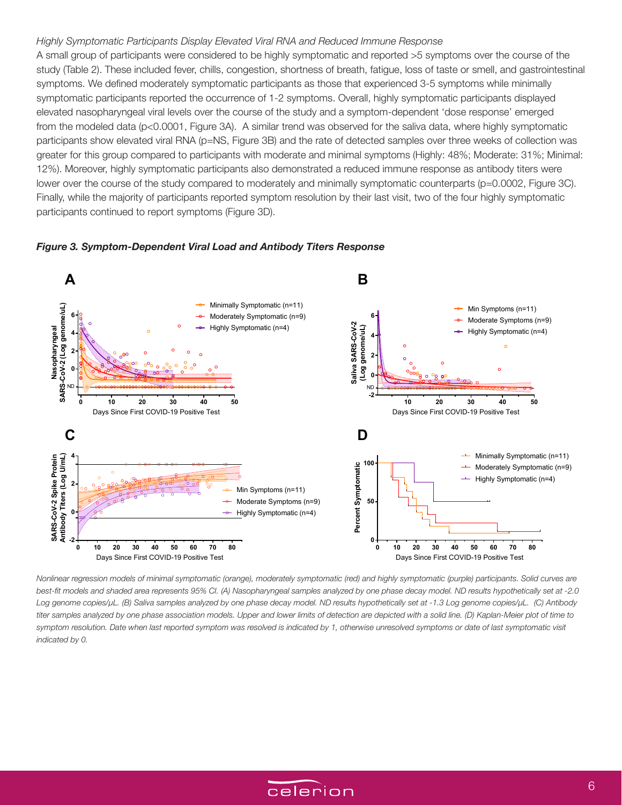#### *Highly Symptomatic Participants Display Elevated Viral RNA and Reduced Immune Response*

A small group of participants were considered to be highly symptomatic and reported >5 symptoms over the course of the study (Table 2). These included fever, chills, congestion, shortness of breath, fatigue, loss of taste or smell, and gastrointestinal symptoms. We defined moderately symptomatic participants as those that experienced 3-5 symptoms while minimally symptomatic participants reported the occurrence of 1-2 symptoms. Overall, highly symptomatic participants displayed elevated nasopharyngeal viral levels over the course of the study and a symptom-dependent 'dose response' emerged from the modeled data (p<0.0001, Figure 3A). A similar trend was observed for the saliva data, where highly symptomatic participants show elevated viral RNA (p=NS, Figure 3B) and the rate of detected samples over three weeks of collection was greater for this group compared to participants with moderate and minimal symptoms (Highly: 48%; Moderate: 31%; Minimal: 12%). Moreover, highly symptomatic participants also demonstrated a reduced immune response as antibody titers were lower over the course of the study compared to moderately and minimally symptomatic counterparts (p=0.0002, Figure 3C). Finally, while the majority of participants reported symptom resolution by their last visit, two of the four highly symptomatic participants continued to report symptoms (Figure 3D).



#### *Figure 3. Symptom-Dependent Viral Load and Antibody Titers Response*

*Nonlinear regression models of minimal symptomatic (orange), moderately symptomatic (red) and highly symptomatic (purple) participants. Solid curves are best-fit models and shaded area represents 95% CI. (A) Nasopharyngeal samples analyzed by one phase decay model. ND results hypothetically set at -2.0 Log genome copies/µL. (B) Saliva samples analyzed by one phase decay model. ND results hypothetically set at -1.3 Log genome copies/µL. (C) Antibody titer samples analyzed by one phase association models. Upper and lower limits of detection are depicted with a solid line. (D) Kaplan-Meier plot of time to*  symptom resolution. Date when last reported symptom was resolved is indicated by 1, otherwise unresolved symptoms or date of last symptomatic visit *indicated by 0.*

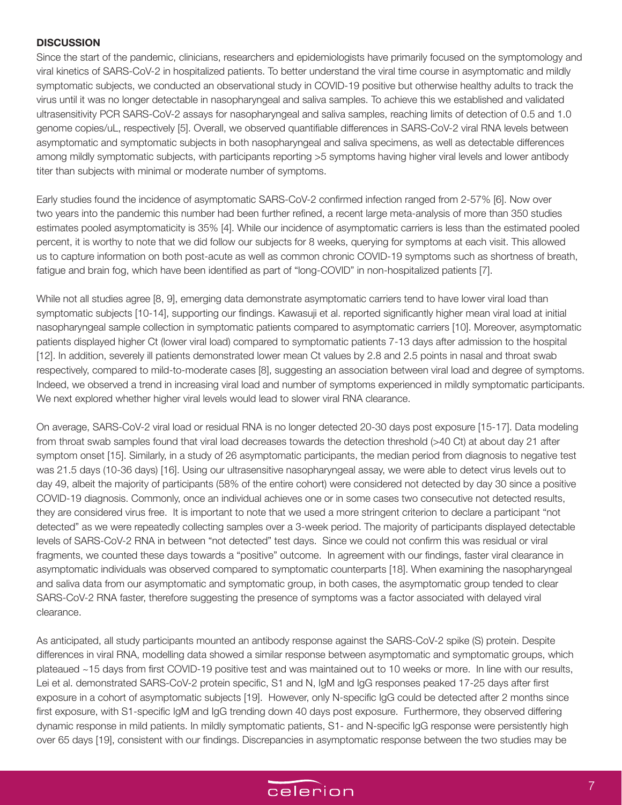### **DISCUSSION**

Since the start of the pandemic, clinicians, researchers and epidemiologists have primarily focused on the symptomology and viral kinetics of SARS-CoV-2 in hospitalized patients. To better understand the viral time course in asymptomatic and mildly symptomatic subjects, we conducted an observational study in COVID-19 positive but otherwise healthy adults to track the virus until it was no longer detectable in nasopharyngeal and saliva samples. To achieve this we established and validated ultrasensitivity PCR SARS-CoV-2 assays for nasopharyngeal and saliva samples, reaching limits of detection of 0.5 and 1.0 genome copies/uL, respectively [5]. Overall, we observed quantifiable differences in SARS-CoV-2 viral RNA levels between asymptomatic and symptomatic subjects in both nasopharyngeal and saliva specimens, as well as detectable differences among mildly symptomatic subjects, with participants reporting >5 symptoms having higher viral levels and lower antibody titer than subjects with minimal or moderate number of symptoms.

Early studies found the incidence of asymptomatic SARS-CoV-2 confirmed infection ranged from 2-57% [6]. Now over two years into the pandemic this number had been further refined, a recent large meta-analysis of more than 350 studies estimates pooled asymptomaticity is 35% [4]. While our incidence of asymptomatic carriers is less than the estimated pooled percent, it is worthy to note that we did follow our subjects for 8 weeks, querying for symptoms at each visit. This allowed us to capture information on both post-acute as well as common chronic COVID-19 symptoms such as shortness of breath, fatigue and brain fog, which have been identified as part of "long-COVID" in non-hospitalized patients [7].

While not all studies agree [8, 9], emerging data demonstrate asymptomatic carriers tend to have lower viral load than symptomatic subjects [10-14], supporting our findings. Kawasuji et al. reported significantly higher mean viral load at initial nasopharyngeal sample collection in symptomatic patients compared to asymptomatic carriers [10]. Moreover, asymptomatic patients displayed higher Ct (lower viral load) compared to symptomatic patients 7-13 days after admission to the hospital [12]. In addition, severely ill patients demonstrated lower mean Ct values by 2.8 and 2.5 points in nasal and throat swab respectively, compared to mild-to-moderate cases [8], suggesting an association between viral load and degree of symptoms. Indeed, we observed a trend in increasing viral load and number of symptoms experienced in mildly symptomatic participants. We next explored whether higher viral levels would lead to slower viral RNA clearance.

On average, SARS-CoV-2 viral load or residual RNA is no longer detected 20-30 days post exposure [15-17]. Data modeling from throat swab samples found that viral load decreases towards the detection threshold (>40 Ct) at about day 21 after symptom onset [15]. Similarly, in a study of 26 asymptomatic participants, the median period from diagnosis to negative test was 21.5 days (10-36 days) [16]. Using our ultrasensitive nasopharyngeal assay, we were able to detect virus levels out to day 49, albeit the majority of participants (58% of the entire cohort) were considered not detected by day 30 since a positive COVID-19 diagnosis. Commonly, once an individual achieves one or in some cases two consecutive not detected results, they are considered virus free. It is important to note that we used a more stringent criterion to declare a participant "not detected" as we were repeatedly collecting samples over a 3-week period. The majority of participants displayed detectable levels of SARS-CoV-2 RNA in between "not detected" test days. Since we could not confirm this was residual or viral fragments, we counted these days towards a "positive" outcome. In agreement with our findings, faster viral clearance in asymptomatic individuals was observed compared to symptomatic counterparts [18]. When examining the nasopharyngeal and saliva data from our asymptomatic and symptomatic group, in both cases, the asymptomatic group tended to clear SARS-CoV-2 RNA faster, therefore suggesting the presence of symptoms was a factor associated with delayed viral clearance.

As anticipated, all study participants mounted an antibody response against the SARS-CoV-2 spike (S) protein. Despite differences in viral RNA, modelling data showed a similar response between asymptomatic and symptomatic groups, which plateaued ~15 days from first COVID-19 positive test and was maintained out to 10 weeks or more. In line with our results, Lei et al. demonstrated SARS-CoV-2 protein specific, S1 and N, IgM and IgG responses peaked 17-25 days after first exposure in a cohort of asymptomatic subjects [19]. However, only N-specific IgG could be detected after 2 months since first exposure, with S1-specific IgM and IgG trending down 40 days post exposure. Furthermore, they observed differing dynamic response in mild patients. In mildly symptomatic patients, S1- and N-specific IgG response were persistently high over 65 days [19], consistent with our findings. Discrepancies in asymptomatic response between the two studies may be

# celerion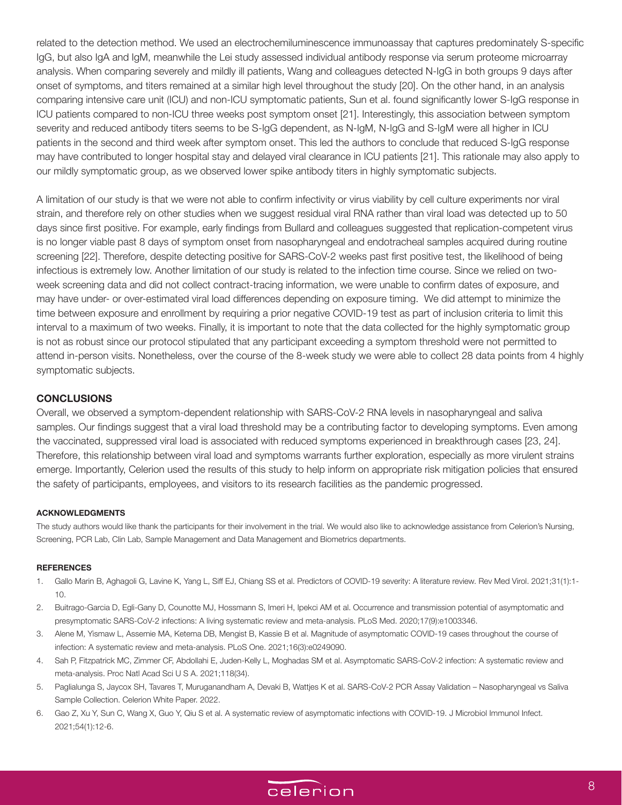related to the detection method. We used an electrochemiluminescence immunoassay that captures predominately S-specific IgG, but also IgA and IgM, meanwhile the Lei study assessed individual antibody response via serum proteome microarray analysis. When comparing severely and mildly ill patients, Wang and colleagues detected N-IgG in both groups 9 days after onset of symptoms, and titers remained at a similar high level throughout the study [20]. On the other hand, in an analysis comparing intensive care unit (ICU) and non-ICU symptomatic patients, Sun et al. found significantly lower S-IgG response in ICU patients compared to non-ICU three weeks post symptom onset [21]. Interestingly, this association between symptom severity and reduced antibody titers seems to be S-IgG dependent, as N-IgM, N-IgG and S-IgM were all higher in ICU patients in the second and third week after symptom onset. This led the authors to conclude that reduced S-IgG response may have contributed to longer hospital stay and delayed viral clearance in ICU patients [21]. This rationale may also apply to our mildly symptomatic group, as we observed lower spike antibody titers in highly symptomatic subjects.

A limitation of our study is that we were not able to confirm infectivity or virus viability by cell culture experiments nor viral strain, and therefore rely on other studies when we suggest residual viral RNA rather than viral load was detected up to 50 days since first positive. For example, early findings from Bullard and colleagues suggested that replication-competent virus is no longer viable past 8 days of symptom onset from nasopharyngeal and endotracheal samples acquired during routine screening [22]. Therefore, despite detecting positive for SARS-CoV-2 weeks past first positive test, the likelihood of being infectious is extremely low. Another limitation of our study is related to the infection time course. Since we relied on twoweek screening data and did not collect contract-tracing information, we were unable to confirm dates of exposure, and may have under- or over-estimated viral load differences depending on exposure timing. We did attempt to minimize the time between exposure and enrollment by requiring a prior negative COVID-19 test as part of inclusion criteria to limit this interval to a maximum of two weeks. Finally, it is important to note that the data collected for the highly symptomatic group is not as robust since our protocol stipulated that any participant exceeding a symptom threshold were not permitted to attend in-person visits. Nonetheless, over the course of the 8-week study we were able to collect 28 data points from 4 highly symptomatic subjects.

## **CONCLUSIONS**

Overall, we observed a symptom-dependent relationship with SARS-CoV-2 RNA levels in nasopharyngeal and saliva samples. Our findings suggest that a viral load threshold may be a contributing factor to developing symptoms. Even among the vaccinated, suppressed viral load is associated with reduced symptoms experienced in breakthrough cases [23, 24]. Therefore, this relationship between viral load and symptoms warrants further exploration, especially as more virulent strains emerge. Importantly, Celerion used the results of this study to help inform on appropriate risk mitigation policies that ensured the safety of participants, employees, and visitors to its research facilities as the pandemic progressed.

#### **ACKNOWLEDGMENTS**

The study authors would like thank the participants for their involvement in the trial. We would also like to acknowledge assistance from Celerion's Nursing, Screening, PCR Lab, Clin Lab, Sample Management and Data Management and Biometrics departments.

#### **REFERENCES**

- 1. Gallo Marin B, Aghagoli G, Lavine K, Yang L, Siff EJ, Chiang SS et al. Predictors of COVID-19 severity: A literature review. Rev Med Virol. 2021;31(1):1- 10.
- 2. Buitrago-Garcia D, Egli-Gany D, Counotte MJ, Hossmann S, Imeri H, Ipekci AM et al. Occurrence and transmission potential of asymptomatic and presymptomatic SARS-CoV-2 infections: A living systematic review and meta-analysis. PLoS Med. 2020;17(9):e1003346.
- 3. Alene M, Yismaw L, Assemie MA, Ketema DB, Mengist B, Kassie B et al. Magnitude of asymptomatic COVID-19 cases throughout the course of infection: A systematic review and meta-analysis. PLoS One. 2021;16(3):e0249090.
- 4. Sah P, Fitzpatrick MC, Zimmer CF, Abdollahi E, Juden-Kelly L, Moghadas SM et al. Asymptomatic SARS-CoV-2 infection: A systematic review and meta-analysis. Proc Natl Acad Sci U S A. 2021;118(34).
- 5. Paglialunga S, Jaycox SH, Tavares T, Muruganandham A, Devaki B, Wattjes K et al. SARS-CoV-2 PCR Assay Validation Nasopharyngeal vs Saliva Sample Collection. Celerion White Paper. 2022.
- 6. Gao Z, Xu Y, Sun C, Wang X, Guo Y, Qiu S et al. A systematic review of asymptomatic infections with COVID-19. J Microbiol Immunol Infect. 2021;54(1):12-6.